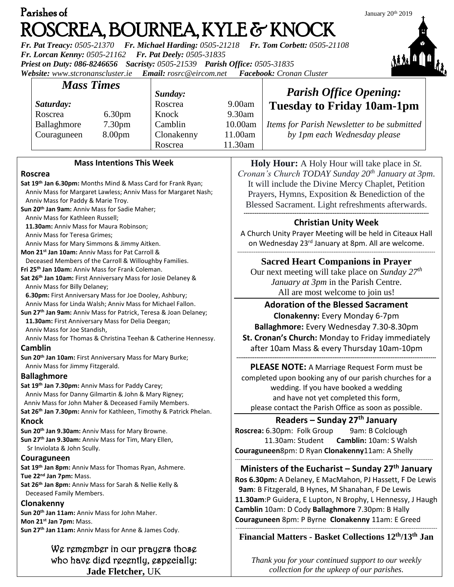| Parishes of                                                                            | January 20th 2019 |
|----------------------------------------------------------------------------------------|-------------------|
| ROSCREA, BOURNEA, KYLE & KNOCK                                                         |                   |
| Fr. Pat Treacy: 0505-21370 Fr. Michael Harding: 0505-21218 Fr. Tom Corbett: 0505-21108 |                   |
| Fr. Lorcan Kenny: 0505-21162 Fr. Pat Deely: 0505-31835                                 | 辅油                |
| Priest on Duty: 086-8246656 Sacristy: 0505-21539 Parish Office: 0505-31835             |                   |
| Website: www.stcronanscluster.ie Email: rosrc@eircom.net Facebook: Cronan Cluster      |                   |
| <b>Mass Times</b>                                                                      |                   |

Knock 9.30am

Clonakenny 11.00am Roscrea 11.30am

*Sunday:*



Camblin 10.00am *Items for Parish Newsletter to be submitted by 1pm each Wednesday please*

> **Holy Hour:** A Holy Hour will take place in *St. Cronan's Church TODAY Sunday 20th January at 3pm*. It will include the Divine Mercy Chaplet, Petition Prayers, Hymns, Exposition & Benediction of the Blessed Sacrament. Light refreshments afterwards. **------------------------------------------------------------------------------------------------------**

# **Christian Unity Week**

A Church Unity Prayer Meeting will be held in Citeaux Hall on Wednesday 23<sup>rd</sup> January at 8pm. All are welcome.

#### ------------------------------------------------------------------------------------------------------------- **Sacred Heart Companions in Prayer**

Our next meeting will take place on *Sunday 27th January at 3pm* in the Parish Centre. All are most welcome to join us!

**Adoration of the Blessed Sacrament Clonakenny:** Every Monday 6-7pm **Ballaghmore:** Every Wednesday 7.30-8.30pm

**St. Cronan's Church:** Monday to Friday immediately after 10am Mass & every Thursday 10am-10pm **--------------------------------------------------------------------------------------------------------------**

**PLEASE NOTE:** A Marriage Request Form must be completed upon booking any of our parish churches for a wedding. If you have booked a wedding and have not yet completed this form, please contact the Parish Office as soon as possible.

# **Readers – Sunday 27 th January**

**Roscrea:** 6.30pm: Folk Group 9am: B Colclough 11.30am: Student **Camblin:** 10am: S Walsh **Couraguneen**8pm: D Ryan **Clonakenny**11am: A Shelly

### ------------------------------------------------------------------------------------------------------------- **Ministers of the Eucharist – Sunday 27 th January**

**Ros 6.30pm:** A Delaney, E MacMahon, PJ Hassett, F De Lewis  **9am**: B Fitzgerald, B Hynes, M Shanahan, F De Lewis **11.30am**:P Guidera, E Lupton, N Brophy, L Hennessy, J Haugh **Camblin** 10am: D Cody **Ballaghmore** 7.30pm: B Hally **Couraguneen** 8pm: P Byrne **Clonakenny** 11am: E Greed

#### --------------------------------------------------------------------------------------------------------------- **Financial Matters - Basket Collections 12th/13 th Jan**

*Thank you for your continued support to our weekly collection for the upkeep of our parishes.*

# **Mass Intentions This Week**

### **Roscrea**

*Saturday:*

Roscrea 6.30pm Ballaghmore 7.30pm Couraguneen 8.00pm

**Sat 19th Jan 6.30pm:** Months Mind & Mass Card for Frank Ryan; Anniv Mass for Margaret Lawless; Anniv Mass for Margaret Nash; Anniv Mass for Paddy & Marie Troy. **Sun 20th Jan 9am:** Anniv Mass for Sadie Maher; Anniv Mass for Kathleen Russell; **11.30am:** Anniv Mass for Maura Robinson; Anniv Mass for Teresa Grimes; Anniv Mass for Mary Simmons & Jimmy Aitken. **Mon 21st Jan 10am:** Anniv Mass for Pat Carroll & Deceased Members of the Carroll & Willoughby Families. **Fri 25th Jan 10am:** Anniv Mass for Frank Coleman. **Sat 26th Jan 10am:** First Anniversary Mass for Josie Delaney & Anniv Mass for Billy Delaney; **6.30pm:** First Anniversary Mass for Joe Dooley, Ashbury; Anniv Mass for Linda Walsh; Anniv Mass for Michael Fallon. **Sun 27th Jan 9am:** Anniv Mass for Patrick, Teresa & Joan Delaney; **11.30am:** First Anniversary Mass for Delia Deegan; Anniv Mass for Joe Standish, Anniv Mass for Thomas & Christina Teehan & Catherine Hennessy. **Camblin Sun 20th Jan 10am:** First Anniversary Mass for Mary Burke; Anniv Mass for Jimmy Fitzgerald. **Ballaghmore**

**Sat 19th Jan 7.30pm:** Anniv Mass for Paddy Carey; Anniv Mass for Danny Gilmartin & John & Mary Rigney; Anniv Mass for John Maher & Deceased Family Members. **Sat 26th Jan 7.30pm:** Anniv for Kathleen, Timothy & Patrick Phelan.

## **Knock**

**Sun 20th Jan 9.30am:** Anniv Mass for Mary Browne. **Sun 27th Jan 9.30am:** Anniv Mass for Tim, Mary Ellen, Sr Inviolata & John Scully.

## **Couraguneen**

**Sat 19th Jan 8pm:** Anniv Mass for Thomas Ryan, Ashmere. **Tue 22nd Jan 7pm:** Mass. **Sat 26th Jan 8pm:** Anniv Mass for Sarah & Nellie Kelly &

Deceased Family Members.

## **Clonakenny**

**Sun 20th Jan 11am:** Anniv Mass for John Maher. **Mon 21st Jan 7pm:** Mass. **Sun 27th Jan 11am:** Anniv Mass for Anne & James Cody.

> We remember in our prayers those who have died recently, especially: **Jade Fletcher,** UK